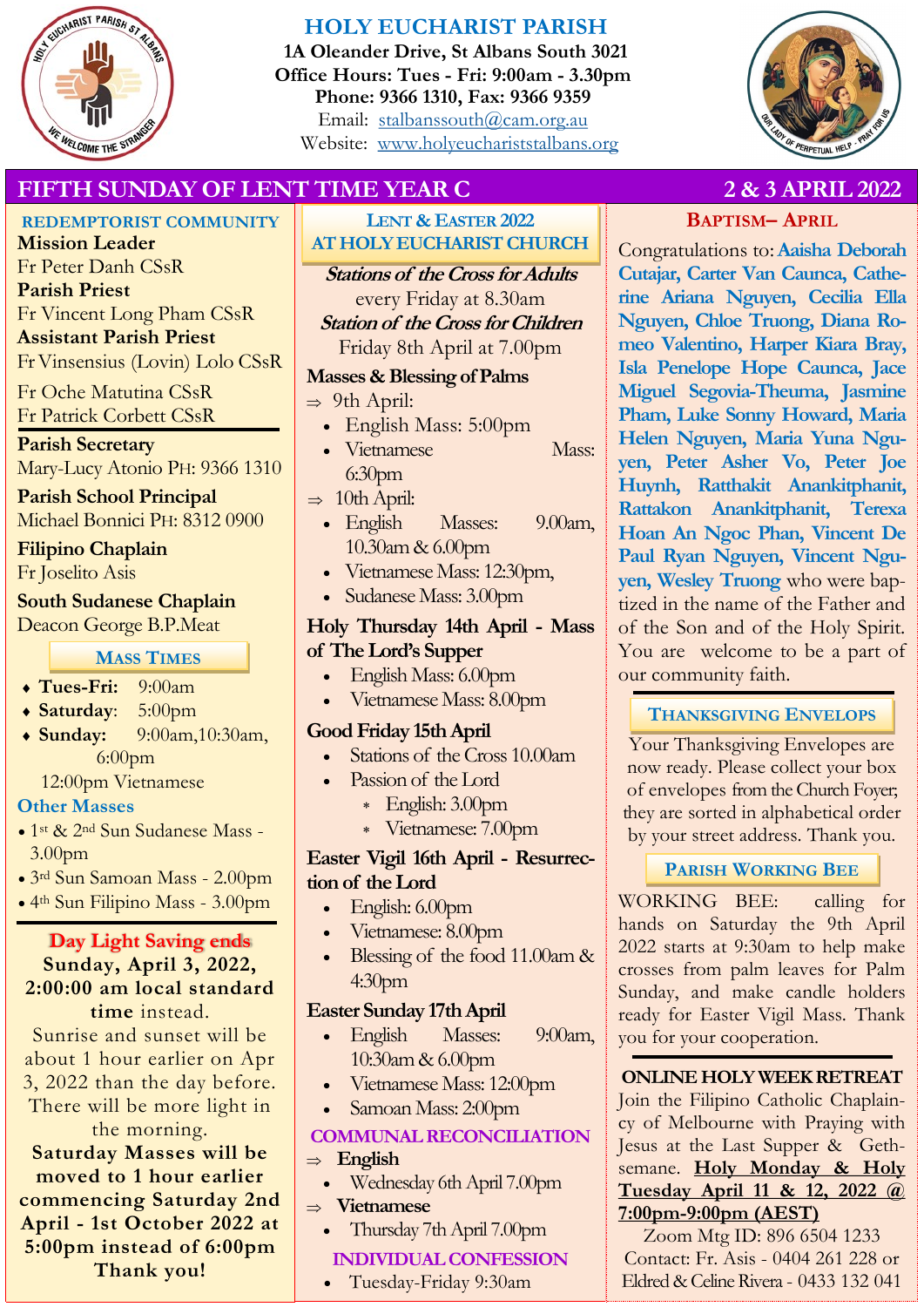

# **HOLY EUCHARIST PARISH**

**1A Oleander Drive, St Albans South 3021 Office Hours: Tues - Fri: 9:00am - 3.30pm Phone: 9366 1310, Fax: 9366 9359** Email: [stalbanssouth@cam.org.au](mailto:stalbanssouth@cam.org.au) Website:[www.holyeuchariststalbans.org](http://www.holyeuchariststalbans.org)



# **FIFTH SUNDAY OF LENT TIME YEAR C 2 & 3 APRIL 2022**

## **REDEMPTORIST COMMUNITY**

**Mission Leader** Fr Peter Danh CSsR **Parish Priest** Fr Vincent Long Pham CSsR **Assistant Parish Priest** 

Fr Vinsensius (Lovin) Lolo CSsR

Fr Oche Matutina CSsR Fr Patrick Corbett CSsR

## **Parish Secretary**

Mary-Lucy Atonio PH: 9366 1310

# **Parish School Principal**

Michael Bonnici PH: 8312 0900

# **Filipino Chaplain**

Fr Joselito Asis

## **South Sudanese Chaplain**

### Deacon George B.P.Meat

# **MASS TIMES**

- **Tues-Fri:** 9:00am
- **Saturday**: 5:00pm
- **Sunday:** 9:00am,10:30am, 6:00pm
	- 12:00pm Vietnamese

# **Other Masses**

- 1st & 2nd Sun Sudanese Mass 3.00pm
- 3rd Sun Samoan Mass 2.00pm
- 4th Sun Filipino Mass 3.00pm

# **Day Light Saving ends Sunday, April 3, 2022,**

# **2:00:00 am local standard**

**time** instead. Sunrise and sunset will be about 1 hour earlier on Apr 3, 2022 than the day before. There will be more light in the morning.

**Saturday Masses will be moved to 1 hour earlier commencing Saturday 2nd April - 1st October 2022 at 5:00pm instead of 6:00pm Thank you!**

# **LENT & EASTER 2022 AT HOLY EUCHARIST CHURCH**

**Stations of the Cross for Adults**  every Friday at 8.30am **Station of the Cross for Children**  Friday 8th April at 7.00pm

# **Masses & Blessing of Palms**

 $\Rightarrow$  9th April:

- English Mass: 5:00pm
- Vietnamese Mass: 6:30pm
- $\Rightarrow$  10th April:
	- English Masses: 9.00am, 10.30am & 6.00pm
	- Vietnamese Mass: 12:30pm,
	- Sudanese Mass: 3.00pm

# **Holy Thursday 14th April - Mass of The Lord's Supper**

- English Mass: 6.00pm
- Vietnamese Mass: 8.00pm

# **Good Friday 15th April**

- Stations of the Cross 10.00am
	- Passion of the Lord
		- English: 3.00pm
		- Vietnamese: 7.00pm

# **Easter Vigil 16th April - Resurrection of the Lord**

- English: 6.00pm
- Vietnamese: 8.00pm
- Blessing of the food 11.00am & 4:30pm

# **Easter Sunday 17th April**

- English Masses: 9:00am, 10:30am & 6.00pm
- Vietnamese Mass: 12:00pm
- Samoan Mass: 2:00pm

# **COMMUNAL RECONCILIATION**

- **English**
	- Wednesday 6th April 7.00pm
- **Vietnamese**
	- Thursday 7th April 7.00pm **INDIVIDUAL CONFESSION**
	- Tuesday-Friday 9:30am

# **BAPTISM– APRIL**

Congratulations to: **Aaisha Deborah Cutajar, Carter Van Caunca, Catherine Ariana Nguyen, Cecilia Ella Nguyen, Chloe Truong, Diana Romeo Valentino, Harper Kiara Bray, Isla Penelope Hope Caunca, Jace Miguel Segovia-Theuma, Jasmine Pham, Luke Sonny Howard, Maria Helen Nguyen, Maria Yuna Nguyen, Peter Asher Vo, Peter Joe Huynh, Ratthakit Anankitphanit, Rattakon Anankitphanit, Terexa Hoan An Ngoc Phan, Vincent De Paul Ryan Nguyen, Vincent Nguyen, Wesley Truong** who were baptized in the name of the Father and of the Son and of the Holy Spirit. You are welcome to be a part of our community faith.

# **THANKSGIVING ENVELOPS**

Your Thanksgiving Envelopes are now ready. Please collect your box of envelopes from the Church Foyer; they are sorted in alphabetical order by your street address. Thank you.

# **PARISH WORKING BEE**

WORKING BEE: calling for hands on Saturday the 9th April 2022 starts at 9:30am to help make crosses from palm leaves for Palm Sunday, and make candle holders ready for Easter Vigil Mass. Thank you for your cooperation.

**ONLINE HOLY WEEK RETREAT**

Join the Filipino Catholic Chaplaincy of Melbourne with Praying with Jesus at the Last Supper & Gethsemane. **Holy Monday & Holy Tuesday April 11 & 12, 2022 @ 7:00pm-9:00pm (AEST)**

Zoom Mtg ID: 896 6504 1233 Contact: Fr. Asis - 0404 261 228 or Eldred & Celine Rivera - 0433 132 041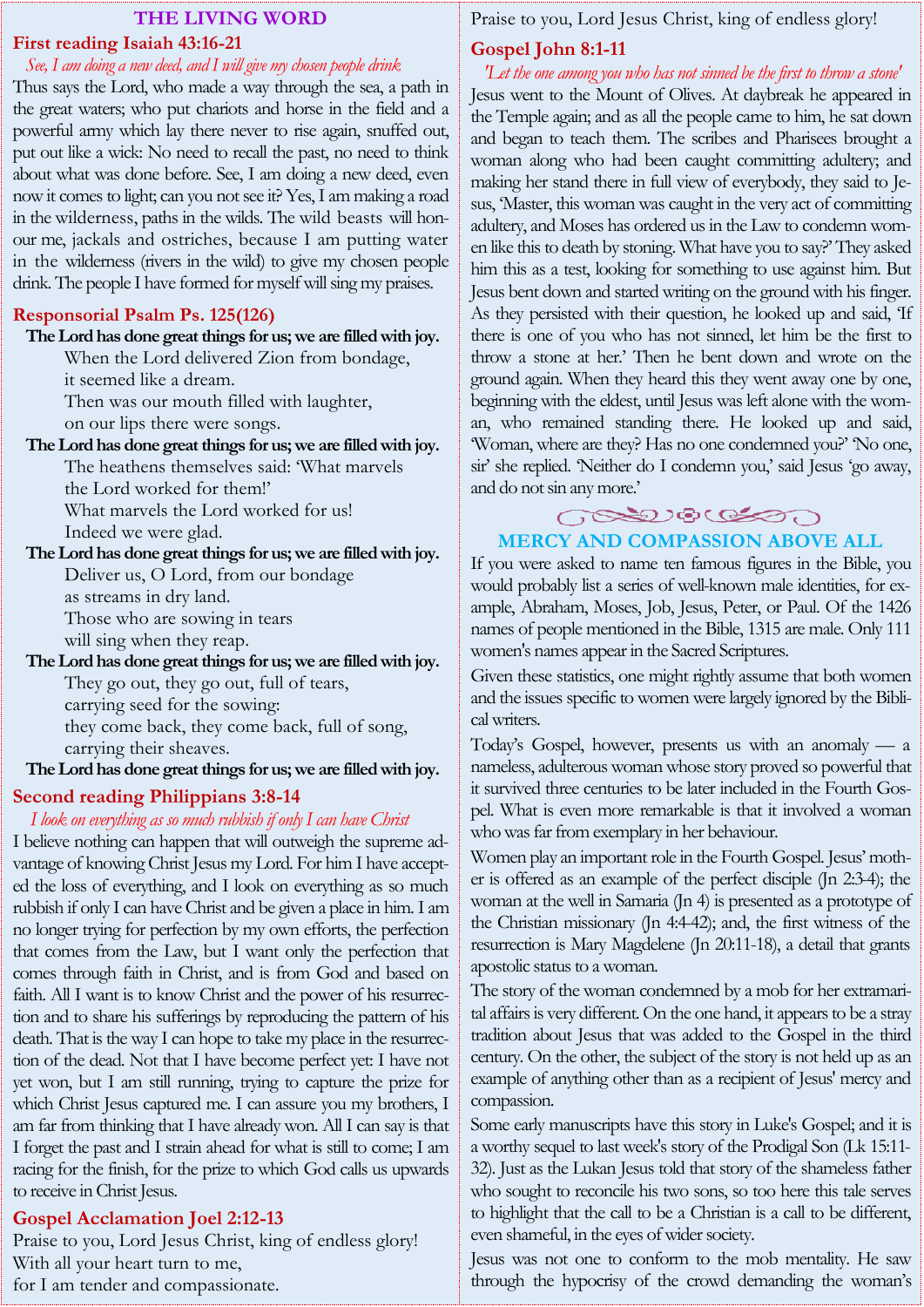#### **THE LIVING WORD**

### **First reading Isaiah 43:16-21**

#### *See, I am doing a new deed, and I will give my chosen people drink*

Thus says the Lord, who made a way through the sea, a path in the great waters; who put chariots and horse in the field and a powerful army which lay there never to rise again, snuffed out, put out like a wick: No need to recall the past, no need to think about what was done before. See, I am doing a new deed, even now it comes to light; can you not see it? Yes, I am making a road in the wilderness, paths in the wilds. The wild beasts will honour me, jackals and ostriches, because I am putting water in the wilderness (rivers in the wild) to give my chosen people drink. The people I have formed for myself will sing my praises.

#### **Responsorial Psalm Ps. 125(126)**

**The Lord has done great things for us; we are filled with joy.** When the Lord delivered Zion from bondage, it seemed like a dream. Then was our mouth filled with laughter, on our lips there were songs. **The Lord has done great things for us; we are filled with joy.** The heathens themselves said: 'What marvels the Lord worked for them!' What marvels the Lord worked for us!

Indeed we were glad.

**The Lord has done great things for us; we are filled with joy.** Deliver us, O Lord, from our bondage as streams in dry land. Those who are sowing in tears will sing when they reap.

**The Lord has done great things for us; we are filled with joy.** They go out, they go out, full of tears, carrying seed for the sowing: they come back, they come back, full of song, carrying their sheaves.

**The Lord has done great things for us; we are filled with joy.**

#### **Second reading Philippians 3:8-14**

#### *I look on everything as so much rubbish if only I can have Christ*

I believe nothing can happen that will outweigh the supreme advantage of knowing Christ Jesus my Lord. For him I have accepted the loss of everything, and I look on everything as so much rubbish if only I can have Christ and be given a place in him. I am no longer trying for perfection by my own efforts, the perfection that comes from the Law, but I want only the perfection that comes through faith in Christ, and is from God and based on faith. All I want is to know Christ and the power of his resurrection and to share his sufferings by reproducing the pattern of his death. That is the way I can hope to take my place in the resurrection of the dead. Not that I have become perfect yet: I have not yet won, but I am still running, trying to capture the prize for which Christ Jesus captured me. I can assure you my brothers, I am far from thinking that I have already won. All I can say is that I forget the past and I strain ahead for what is still to come; I am racing for the finish, for the prize to which God calls us upwards to receive in Christ Jesus.

#### **Gospel Acclamation Joel 2:12-13**

Praise to you, Lord Jesus Christ, king of endless glory! With all your heart turn to me, for I am tender and compassionate.

Praise to you, Lord Jesus Christ, king of endless glory!

#### **Gospel John 8:1-11**

*'Let the one among you who has not sinned be the first to throw a stone'* Jesus went to the Mount of Olives. At daybreak he appeared in the Temple again; and as all the people came to him, he sat down and began to teach them. The scribes and Pharisees brought a woman along who had been caught committing adultery; and making her stand there in full view of everybody, they said to Jesus, 'Master, this woman was caught in the very act of committing adultery, and Moses has ordered us in the Law to condemn women like this to death by stoning. What have you to say?' They asked him this as a test, looking for something to use against him. But Jesus bent down and started writing on the ground with his finger. As they persisted with their question, he looked up and said, 'If there is one of you who has not sinned, let him be the first to throw a stone at her.' Then he bent down and wrote on the ground again. When they heard this they went away one by one, beginning with the eldest, until Jesus was left alone with the woman, who remained standing there. He looked up and said, 'Woman, where are they? Has no one condemned you?' 'No one, sir' she replied. 'Neither do I condemn you,' said Jesus 'go away, and do not sin any more.'

# $O\left(\frac{1}{2}\right)$

#### **MERCY AND COMPASSION ABOVE ALL**

If you were asked to name ten famous figures in the Bible, you would probably list a series of well-known male identities, for example, Abraham, Moses, Job, Jesus, Peter, or Paul. Of the 1426 names of people mentioned in the Bible, 1315 are male. Only 111 women's names appear in the Sacred Scriptures.

Given these statistics, one might rightly assume that both women and the issues specific to women were largely ignored by the Biblical writers.

Today's Gospel, however, presents us with an anomaly — a nameless, adulterous woman whose story proved so powerful that it survived three centuries to be later included in the Fourth Gospel. What is even more remarkable is that it involved a woman who was far from exemplary in her behaviour.

Women play an important role in the Fourth Gospel. Jesus' mother is offered as an example of the perfect disciple (Jn 2:3-4); the woman at the well in Samaria (Jn 4) is presented as a prototype of the Christian missionary (Jn 4:4-42); and, the first witness of the resurrection is Mary Magdelene (Jn 20:11-18), a detail that grants apostolic status to a woman.

The story of the woman condemned by a mob for her extramarital affairs is very different. On the one hand, it appears to be a stray tradition about Jesus that was added to the Gospel in the third century. On the other, the subject of the story is not held up as an example of anything other than as a recipient of Jesus' mercy and compassion.

Some early manuscripts have this story in Luke's Gospel; and it is a worthy sequel to last week's story of the Prodigal Son (Lk 15:11- 32). Just as the Lukan Jesus told that story of the shameless father who sought to reconcile his two sons, so too here this tale serves to highlight that the call to be a Christian is a call to be different, even shameful, in the eyes of wider society.

Jesus was not one to conform to the mob mentality. He saw through the hypocrisy of the crowd demanding the woman's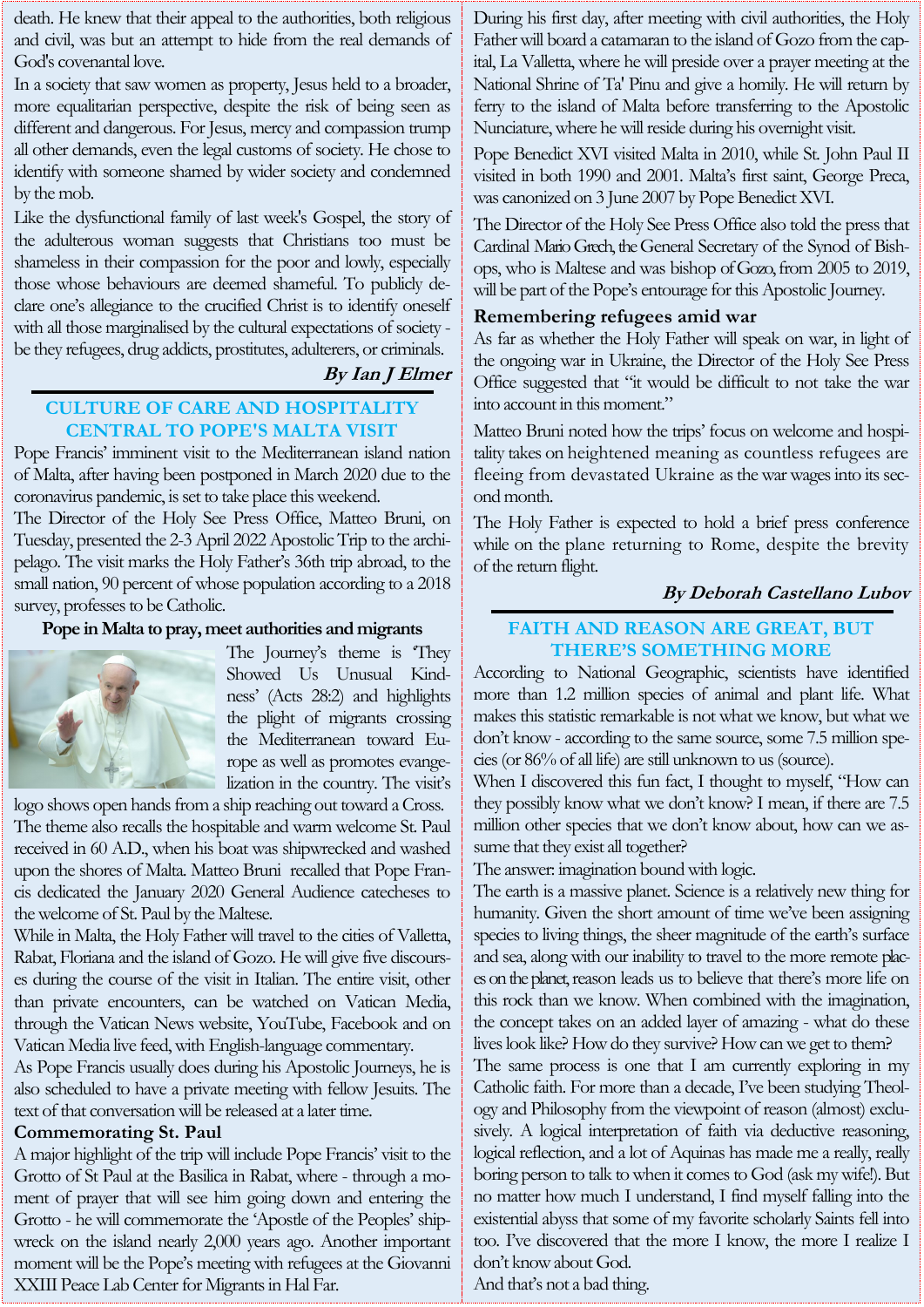death. He knew that their appeal to the authorities, both religious and civil, was but an attempt to hide from the real demands of God's covenantal love.

In a society that saw women as property, Jesus held to a broader, more equalitarian perspective, despite the risk of being seen as different and dangerous. For Jesus, mercy and compassion trump all other demands, even the legal customs of society. He chose to identify with someone shamed by wider society and condemned by the mob.

Like the dysfunctional family of last week's Gospel, the story of the adulterous woman suggests that Christians too must be shameless in their compassion for the poor and lowly, especially those whose behaviours are deemed shameful. To publicly declare one's allegiance to the crucified Christ is to identify oneself with all those marginalised by the cultural expectations of society be they refugees, drug addicts, prostitutes, adulterers, or criminals.

### **By Ian J Elmer**

### **CULTURE OF CARE AND HOSPITALITY CENTRAL TO POPE'S MALTA VISIT**

Pope Francis' imminent visit to the Mediterranean island nation of Malta, after having been postponed in March 2020 due to the coronavirus pandemic, is set to take place this weekend.

The Director of the Holy See Press Office, Matteo Bruni, on Tuesday, presented the 2-3 April 2022 Apostolic Trip to the archipelago. The visit marks the Holy Father's 36th trip abroad, to the small nation, 90 percent of whose population according to a 2018 survey, professes to be Catholic.

#### **Pope in Malta to pray, meet authorities and migrants**



The Journey's theme is 'They Showed Us Unusual Kindness' (Acts 28:2) and highlights the plight of migrants crossing the Mediterranean toward Europe as well as promotes evangelization in the country. The visit's

logo shows open hands from a ship reaching out toward a Cross. The theme also recalls the hospitable and warm welcome St. Paul received in 60 A.D., when his boat was shipwrecked and washed upon the shores of Malta. Matteo Bruni recalled that Pope Francis dedicated the January 2020 General Audience catecheses to the welcome of St. Paul by the Maltese.

While in Malta, the Holy Father will travel to the cities of Valletta, Rabat, Floriana and the island of Gozo. He will give five discourses during the course of the visit in Italian. The entire visit, other than private encounters, can be watched on Vatican Media, through the Vatican News website, YouTube, Facebook and on Vatican Media live feed, with English-language commentary.

As Pope Francis usually does during his Apostolic Journeys, he is also scheduled to have a private meeting with fellow Jesuits. The text of that conversation will be released at a later time.

#### **Commemorating St. Paul**

A major highlight of the trip will include Pope Francis' visit to the Grotto of St Paul at the Basilica in Rabat, where - through a moment of prayer that will see him going down and entering the Grotto - he will commemorate the 'Apostle of the Peoples' shipwreck on the island nearly 2,000 years ago. Another important moment will be the Pope's meeting with refugees at the Giovanni XXIII Peace Lab Center for Migrants in Hal Far.

During his first day, after meeting with civil authorities, the Holy Father will board a catamaran to the island of Gozo from the capital, La Valletta, where he will preside over a prayer meeting at the National Shrine of Ta' Pinu and give a homily. He will return by ferry to the island of Malta before transferring to the Apostolic Nunciature, where he will reside during his overnight visit.

Pope Benedict XVI visited Malta in 2010, while St. John Paul II visited in both 1990 and 2001. Malta's first saint, George Preca, was canonized on 3 June 2007 by Pope Benedict XVI.

The Director of the Holy See Press Office also told the press that Cardinal Mario Grech, the General Secretary of the Synod of Bishops, who is Maltese and was bishop of Gozo, from 2005 to 2019, will be part of the Pope's entourage for this Apostolic Journey.

### **Remembering refugees amid war**

As far as whether the Holy Father will speak on war, in light of the ongoing war in Ukraine, the Director of the Holy See Press Office suggested that "it would be difficult to not take the war into account in this moment."

Matteo Bruni noted how the trips' focus on welcome and hospitality takes on heightened meaning as countless refugees are fleeing from devastated Ukraine as the war wages into its second month.

The Holy Father is expected to hold a brief press conference while on the plane returning to Rome, despite the brevity of the return flight.

## **By Deborah Castellano Lubov**

### **FAITH AND REASON ARE GREAT, BUT THERE'S SOMETHING MORE**

According to National Geographic, scientists have identified more than 1.2 million species of animal and plant life. What makes this statistic remarkable is not what we know, but what we don't know - according to the same source, some 7.5 million species (or 86% of all life) are still unknown to us (source).

When I discovered this fun fact, I thought to myself, "How can they possibly know what we don't know? I mean, if there are 7.5 million other species that we don't know about, how can we assume that they exist all together?

The answer: imagination bound with logic.

The earth is a massive planet. Science is a relatively new thing for humanity. Given the short amount of time we've been assigning species to living things, the sheer magnitude of the earth's surface and sea, along with our inability to travel to the more remote places on the planet, reason leads us to believe that there's more life on this rock than we know. When combined with the imagination, the concept takes on an added layer of amazing - what do these lives look like? How do they survive? How can we get to them?

The same process is one that I am currently exploring in my Catholic faith. For more than a decade, I've been studying Theology and Philosophy from the viewpoint of reason (almost) exclusively. A logical interpretation of faith via deductive reasoning, logical reflection, and a lot of Aquinas has made me a really, really boring person to talk to when it comes to God (ask my wife!). But no matter how much I understand, I find myself falling into the existential abyss that some of my favorite scholarly Saints fell into too. I've discovered that the more I know, the more I realize I don't know about God.

And that's not a bad thing.